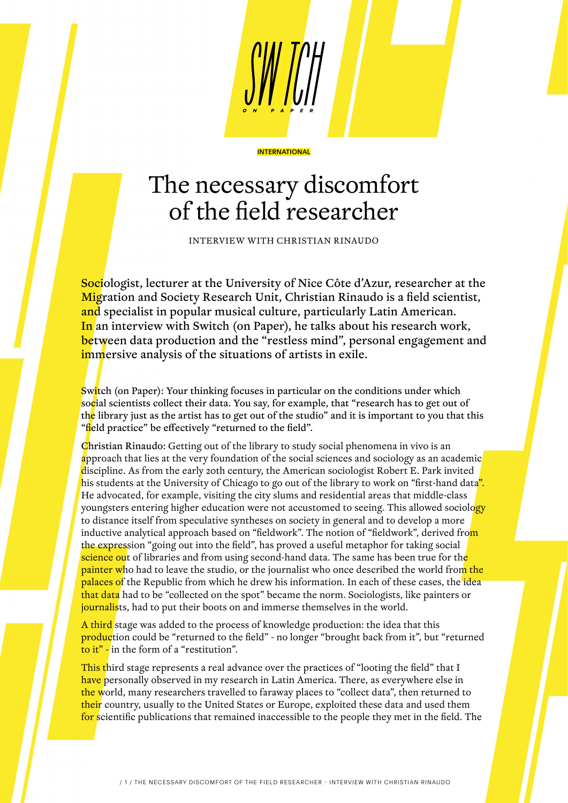

## The necessary discomfort of the field researcher

INTERVIEW WITH CHRISTIAN RINAUDO

Sociologist, lecturer at the University of Nice Côte d'Azur, researcher at the Migration and Society Research Unit, Christian Rinaudo is a field scientist, and specialist in popular musical culture, particularly Latin American. In an interview with Switch (on Paper), he talks about his research work, between data production and the "restless mind", personal engagement and immersive analysis of the situations of artists in exile.

Switch (on Paper): Your thinking focuses in particular on the conditions under which social scientists collect their data. You say, for example, that "research has to get out of the library just as the artist has to get out of the studio" and it is important to you that this "field practice" be effectively "returned to the field".

Christian Rinaudo: Getting out of the library to study social phenomena in vivo is an approach that lies at the very foundation of the social sciences and sociology as an academic discipline. As from the early 20th century, the American sociologist Robert E. Park invited his students at the University of Chicago to go out of the library to work on "first-hand data". He advocated, for example, visiting the city slums and residential areas that middle-class youngsters entering higher education were not accustomed to seeing. This allowed sociology to distance itself from speculative syntheses on society in general and to develop a more inductive analytical approach based on "fieldwork". The notion of "fieldwork", derived from the expression "going out into the field", has proved a useful metaphor for taking social science out of libraries and from using second-hand data. The same has been true for the **painter who had to leave the studio, or the journalist who once described the world from the** palaces of the Republic from which he drew his information. In each of these cases, the idea that data had to be "collected on the spot" became the norm. Sociologists, like painters or journalists, had to put their boots on and immerse themselves in the world.

A third stage was added to the process of knowledge production: the idea that this production could be "returned to the field" - no longer "brought back from it", but "returned to it" - in the form of a "restitution".

This third stage represents a real advance over the practices of "looting the field" that I have personally observed in my research in Latin America. There, as everywhere else in the world, many researchers travelled to faraway places to "collect data", then returned to their country, usually to the United States or Europe, exploited these data and used them for scientific publications that remained inaccessible to the people they met in the field. The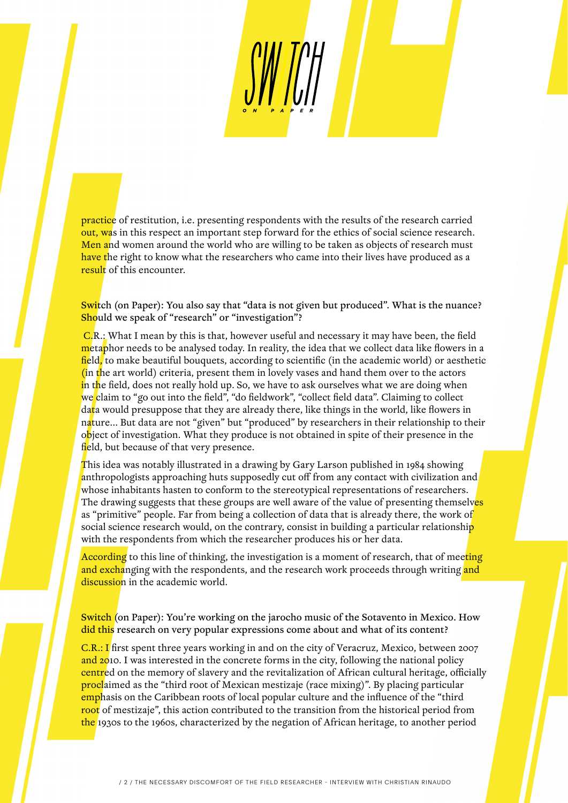practice of restitution, i.e. presenting respondents with the results of the research carried out, was in this respect an important step forward for the ethics of social science research. Men and women around the world who are willing to be taken as objects of research must have the right to know what the researchers who came into their lives have produced as a result of this encounter.

Switch (on Paper): You also say that "data is not given but produced". What is the nuance? Should we speak of "research" or "investigation"?

 C.R.: What I mean by this is that, however useful and necessary it may have been, the field metaphor needs to be analysed today. In reality, the idea that we collect data like flowers in a field, to make beautiful bouquets, according to scientific (in the academic world) or aesthetic (in the art world) criteria, present them in lovely vases and hand them over to the actors in the field, does not really hold up. So, we have to ask ourselves what we are doing when we claim to "go out into the field", "do fieldwork", "collect field data". Claiming to collect data would presuppose that they are already there, like things in the world, like flowers in nature... But data are not "given" but "produced" by researchers in their relationship to their object of investigation. What they produce is not obtained in spite of their presence in the field, but because of that very presence.

This idea was notably illustrated in a drawing by Gary Larson published in 1984 showing anthropologists approaching huts supposedly cut off from any contact with civilization and whose inhabitants hasten to conform to the stereotypical representations of researchers. The drawing suggests that these groups are well aware of the value of presenting themselves as "primitive" people. Far from being a collection of data that is already there, the work of social science research would, on the contrary, consist in building a particular relationship with the respondents from which the researcher produces his or her data.

According to this line of thinking, the investigation is a moment of research, that of meeting and exchanging with the respondents, and the research work proceeds through writing and discussion in the academic world.

**Switch** (on Paper): You're working on the jarocho music of the Sotavento in Mexico. How did this research on very popular expressions come about and what of its content?

C.R.: I first spent three years working in and on the city of Veracruz, Mexico, between 2007 and 2010. I was interested in the concrete forms in the city, following the national policy centred on the memory of slavery and the revitalization of African cultural heritage, officially **proclaimed as the "third root of Mexican mestizaje (race mixing)". By placing particular** emphasis on the Caribbean roots of local popular culture and the influence of the "third" root of mestizaje", this action contributed to the transition from the historical period from the 1930s to the 1960s, characterized by the negation of African heritage, to another period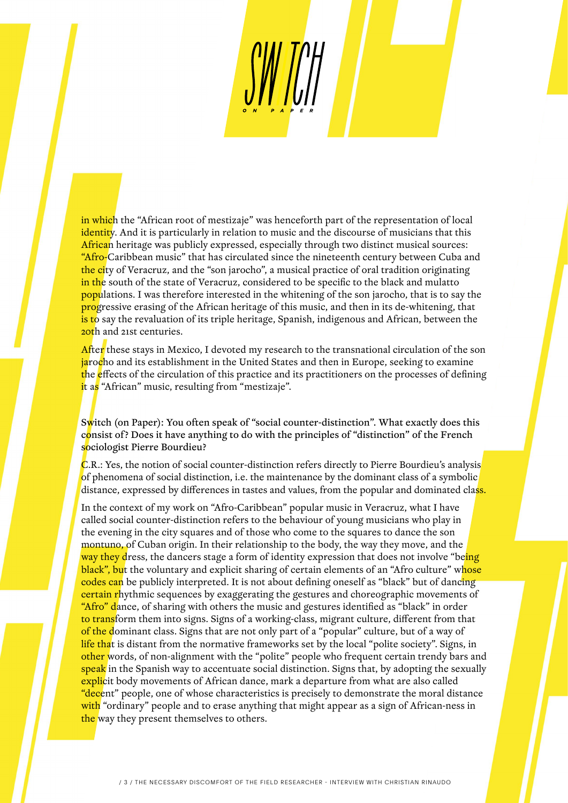in which the "African root of mestizaje" was henceforth part of the representation of local identity. And it is particularly in relation to music and the discourse of musicians that this African heritage was publicly expressed, especially through two distinct musical sources: "Afro-Caribbean music" that has circulated since the nineteenth century between Cuba and the city of Veracruz, and the "son jarocho", a musical practice of oral tradition originating in the south of the state of Veracruz, considered to be specific to the black and mulatto populations. I was therefore interested in the whitening of the son jarocho, that is to say the progressive erasing of the African heritage of this music, and then in its de-whitening, that is to say the revaluation of its triple heritage, Spanish, indigenous and African, between the 20th and 21st centuries.

After these stays in Mexico, I devoted my research to the transnational circulation of the son jarocho and its establishment in the United States and then in Europe, seeking to examine the effects of the circulation of this practice and its practitioners on the processes of defining it as "African" music, resulting from "mestizaje".

Switch (on Paper): You often speak of "social counter-distinction". What exactly does this consist of? Does it have anything to do with the principles of "distinction" of the French sociologist Pierre Bourdieu?

C.R.: Yes, the notion of social counter-distinction refers directly to Pierre Bourdieu's analysis of phenomena of social distinction, i.e. the maintenance by the dominant class of a symbolic distance, expressed by differences in tastes and values, from the popular and dominated class.

In the context of my work on "Afro-Caribbean" popular music in Veracruz, what I have called social counter-distinction refers to the behaviour of young musicians who play in the evening in the city squares and of those who come to the squares to dance the son montuno, of Cuban origin. In their relationship to the body, the way they move, and the way they dress, the dancers stage a form of identity expression that does not involve "being" black", but the voluntary and explicit sharing of certain elements of an "Afro culture" whose codes can be publicly interpreted. It is not about defining oneself as "black" but of dancing certain rhythmic sequences by exaggerating the gestures and choreographic movements of "Afro" dance, of sharing with others the music and gestures identified as "black" in order to transform them into signs. Signs of a working-class, migrant culture, different from that of the dominant class. Signs that are not only part of a "popular" culture, but of a way of life that is distant from the normative frameworks set by the local "polite society". Signs, in other words, of non-alignment with the "polite" people who frequent certain trendy bars and speak in the Spanish way to accentuate social distinction. Signs that, by adopting the sexually explicit body movements of African dance, mark a departure from what are also called "decent" people, one of whose characteristics is precisely to demonstrate the moral distance with "ordinary" people and to erase anything that might appear as a sign of African-ness in the way they present themselves to others.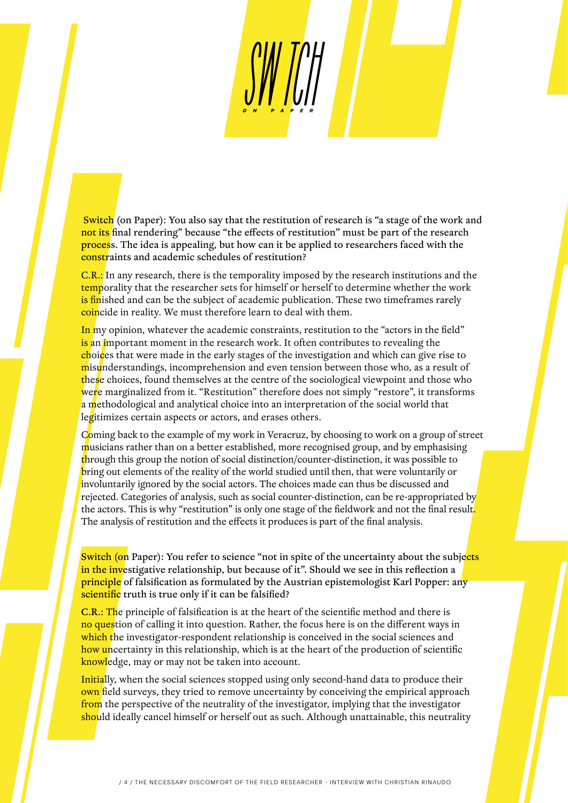Switch (on Paper): You also say that the restitution of research is "a stage of the work and not its final rendering" because "the effects of restitution" must be part of the research process. The idea is appealing, but how can it be applied to researchers faced with the constraints and academic schedules of restitution?

C.R.: In any research, there is the temporality imposed by the research institutions and the temporality that the researcher sets for himself or herself to determine whether the work is finished and can be the subject of academic publication. These two timeframes rarely coincide in reality. We must therefore learn to deal with them.

In my opinion, whatever the academic constraints, restitution to the "actors in the field" is an important moment in the research work. It often contributes to revealing the choices that were made in the early stages of the investigation and which can give rise to misunderstandings, incomprehension and even tension between those who, as a result of these choices, found themselves at the centre of the sociological viewpoint and those who were marginalized from it. "Restitution" therefore does not simply "restore", it transforms a methodological and analytical choice into an interpretation of the social world that legitimizes certain aspects or actors, and erases others.

Coming back to the example of my work in Veracruz, by choosing to work on a group of street musicians rather than on a better established, more recognised group, and by emphasising through this group the notion of social distinction/counter-distinction, it was possible to bring out elements of the reality of the world studied until then, that were voluntarily or involuntarily ignored by the social actors. The choices made can thus be discussed and rejected. Categories of analysis, such as social counter-distinction, can be re-appropriated by the actors. This is why "restitution" is only one stage of the fieldwork and not the final result. The analysis of restitution and the effects it produces is part of the final analysis.

Switch (on Paper): You refer to science "not in spite of the uncertainty about the subjects in the investigative relationship, but because of it". Should we see in this reflection a **principle** of falsification as formulated by the Austrian epistemologist Karl Popper: any scientific truth is true only if it can be falsified?

C.R.: The principle of falsification is at the heart of the scientific method and there is no question of calling it into question. Rather, the focus here is on the different ways in which the investigator-respondent relationship is conceived in the social sciences and how uncertainty in this relationship, which is at the heart of the production of scientific knowledge, may or may not be taken into account.

Initially, when the social sciences stopped using only second-hand data to produce their own field surveys, they tried to remove uncertainty by conceiving the empirical approach from the perspective of the neutrality of the investigator, implying that the investigator should ideally cancel himself or herself out as such. Although unattainable, this neutrality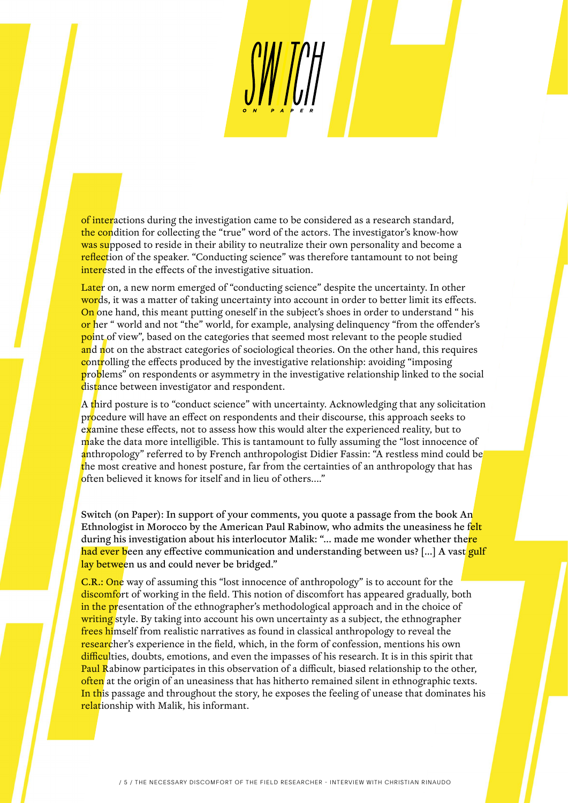of interactions during the investigation came to be considered as a research standard, the condition for collecting the "true" word of the actors. The investigator's know-how was supposed to reside in their ability to neutralize their own personality and become a reflection of the speaker. "Conducting science" was therefore tantamount to not being interested in the effects of the investigative situation.

Later on, a new norm emerged of "conducting science" despite the uncertainty. In other words, it was a matter of taking uncertainty into account in order to better limit its effects. On one hand, this meant putting oneself in the subject's shoes in order to understand " his or her " world and not "the" world, for example, analysing delinquency "from the offender's point of view", based on the categories that seemed most relevant to the people studied and not on the abstract categories of sociological theories. On the other hand, this requires controlling the effects produced by the investigative relationship: avoiding "imposing" problems" on respondents or asymmetry in the investigative relationship linked to the social distance between investigator and respondent.

A third posture is to "conduct science" with uncertainty. Acknowledging that any solicitation procedure will have an effect on respondents and their discourse, this approach seeks to examine these effects, not to assess how this would alter the experienced reality, but to make the data more intelligible. This is tantamount to fully assuming the "lost innocence of anthropology" referred to by French anthropologist Didier Fassin: "A restless mind could be the most creative and honest posture, far from the certainties of an anthropology that has often believed it knows for itself and in lieu of others...."

Switch (on Paper): In support of your comments, you quote a passage from the book An Ethnologist in Morocco by the American Paul Rabinow, who admits the uneasiness he felt during his investigation about his interlocutor Malik: "... made me wonder whether there had ever been any effective communication and understanding between us? [...] A vast gulf lay between us and could never be bridged."

**C.R.: One** way of assuming this "lost innocence of anthropology" is to account for the discomfort of working in the field. This notion of discomfort has appeared gradually, both in the presentation of the ethnographer's methodological approach and in the choice of writing style. By taking into account his own uncertainty as a subject, the ethnographer frees himself from realistic narratives as found in classical anthropology to reveal the researcher's experience in the field, which, in the form of confession, mentions his own difficulties, doubts, emotions, and even the impasses of his research. It is in this spirit that Paul Rabinow participates in this observation of a difficult, biased relationship to the other, often at the origin of an uneasiness that has hitherto remained silent in ethnographic texts. In this passage and throughout the story, he exposes the feeling of unease that dominates his relationship with Malik, his informant.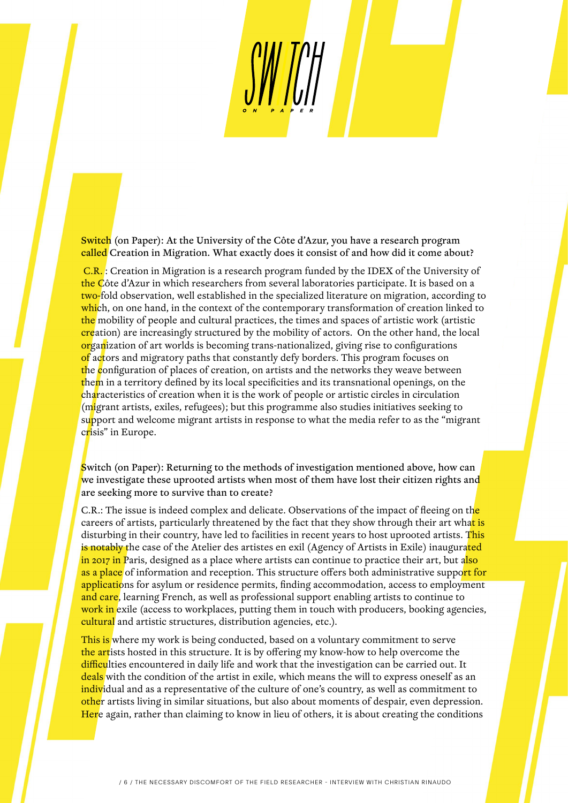Switch (on Paper): At the University of the Côte d'Azur, you have a research program called Creation in Migration. What exactly does it consist of and how did it come about?

 C.R. : Creation in Migration is a research program funded by the IDEX of the University of the Côte d'Azur in which researchers from several laboratories participate. It is based on a two-fold observation, well established in the specialized literature on migration, according to which, on one hand, in the context of the contemporary transformation of creation linked to the mobility of people and cultural practices, the times and spaces of artistic work (artistic creation) are increasingly structured by the mobility of actors. On the other hand, the local organization of art worlds is becoming trans-nationalized, giving rise to configurations of actors and migratory paths that constantly defy borders. This program focuses on the configuration of places of creation, on artists and the networks they weave between them in a territory defined by its local specificities and its transnational openings, on the characteristics of creation when it is the work of people or artistic circles in circulation (migrant artists, exiles, refugees); but this programme also studies initiatives seeking to support and welcome migrant artists in response to what the media refer to as the "migrant" crisis" in Europe.

Switch (on Paper): Returning to the methods of investigation mentioned above, how can we investigate these uprooted artists when most of them have lost their citizen rights and are seeking more to survive than to create?

C.R.: The issue is indeed complex and delicate. Observations of the impact of fleeing on the careers of artists, particularly threatened by the fact that they show through their art what is disturbing in their country, have led to facilities in recent years to host uprooted artists. This is notably the case of the Atelier des artistes en exil (Agency of Artists in Exile) inaugurated in 2017 in Paris, designed as a place where artists can continue to practice their art, but also as a place of information and reception. This structure offers both administrative support for applications for asylum or residence permits, finding accommodation, access to employment and care, learning French, as well as professional support enabling artists to continue to work in exile (access to workplaces, putting them in touch with producers, booking agencies, cultural and artistic structures, distribution agencies, etc.).

This is where my work is being conducted, based on a voluntary commitment to serve the artists hosted in this structure. It is by offering my know-how to help overcome the difficulties encountered in daily life and work that the investigation can be carried out. It deals with the condition of the artist in exile, which means the will to express oneself as an individual and as a representative of the culture of one's country, as well as commitment to other artists living in similar situations, but also about moments of despair, even depression. Here again, rather than claiming to know in lieu of others, it is about creating the conditions